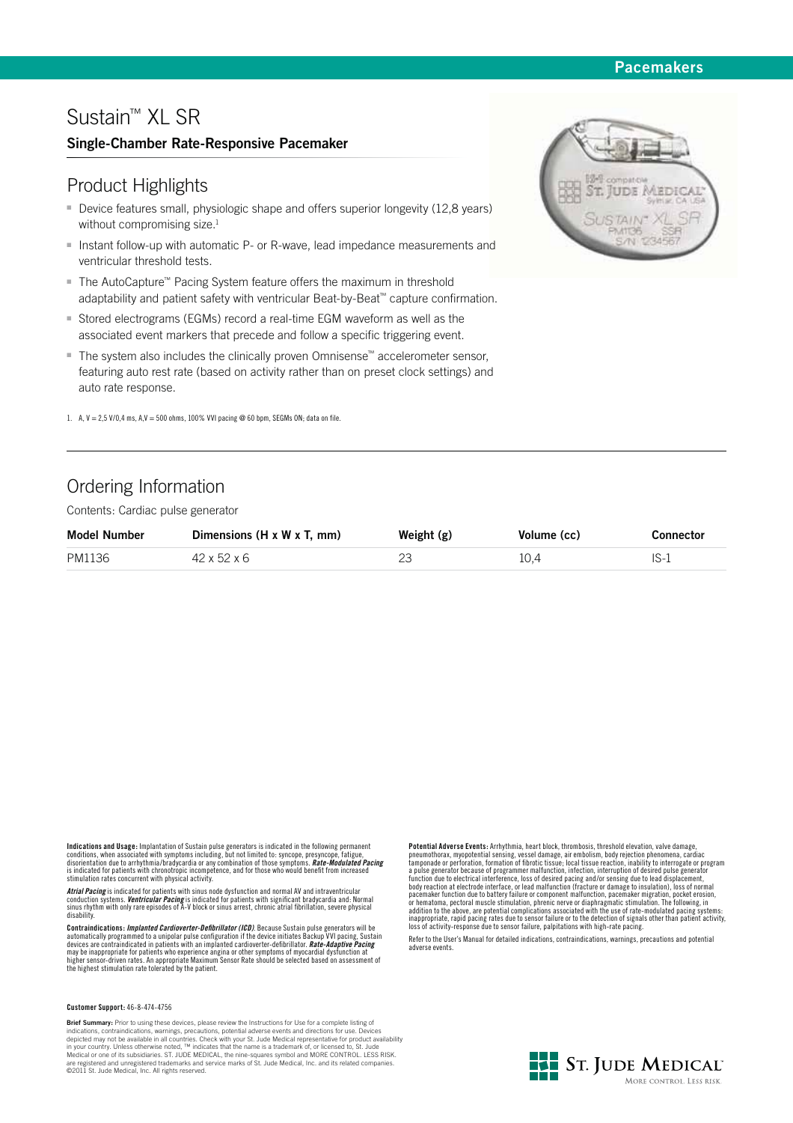## **Pacemakers**

# Sustain™ XL SR

## **Single-Chamber Rate-Responsive Pacemaker**

## Product Highlights

- Device features small, physiologic shape and offers superior longevity (12,8 years) without compromising size.<sup>1</sup>
- Instant follow-up with automatic P- or R-wave, lead impedance measurements and ventricular threshold tests.
- The AutoCapture™ Pacing System feature offers the maximum in threshold adaptability and patient safety with ventricular Beat-by-Beat™ capture confirmation.
- Stored electrograms (EGMs) record a real-time EGM waveform as well as the associated event markers that precede and follow a specific triggering event.
- The system also includes the clinically proven Omnisense™ accelerometer sensor, featuring auto rest rate (based on activity rather than on preset clock settings) and auto rate response.
- 1. A,  $V = 2.5$  V/0,4 ms, A, $V = 500$  ohms, 100% VVI pacing @ 60 bpm, SEGMs ON; data on file.

# Ordering Information

Contents: Cardiac pulse generator

| <b>Model Number</b> | Dimensions $(H \times W \times T, \text{ mm})$ | Weight $(g)$ | Volume (cc) | Connector |
|---------------------|------------------------------------------------|--------------|-------------|-----------|
| PM1136              | 42 x 52 x 6                                    |              | 10.4        | - IS-1    |

**Indications and Usage:** Implantation of Sustain pulse generators is indicated in the following permanent conditions, when associated with symptoms including, but not limited to: syncope, presyncope, fatigue,<br>disorientation due to arrhythmia/bradycardia or any combination of those symptoms. **Rate-Modulated Pacing**<br>is indicated

*Atrial Pacing* is indicated for patients with sinus node dysfunction and normal AV and intraventricular<br>conduction systems. *Ventricular Pacing* is indicated for patients with significant bradycardia and: Normal<br>sinus rhy disability.

**Contraindications:** *Implanted Cardioverter-Defibrillator (ICD)***. Because Sustain pulse generators will be automatically programmed to a unipolar pulse configuration if the device initiates Backup VVI pacing. Sustain** automatically programmed to a unipolar pulse configuration if the device initiates Backup VVI pacing, Sustain devices are contraindicated in patients with an implanted cardioverter-defibrillator. **Rate-Adaptive Pacing** may be inappropriate for patients who experience angina or other symptoms of myocardial dysfunction at<br>higher sensor-driven rates. An appropriate Maximum Sensor Rate should be selected based on assessment of<br>the highest st

#### **Customer Support:** 46-8-474-4756

**Brief Summary:** Prior to using these devices, please review the Instructions for Use for a complete listing of indications, contraindications, warnings, precautions, potential adverse events and directions for use. Devices depicted may not be available in all countries. Check with your St. Jude Medical representative for product availability<br>in your country. Unless otherwise noted, ™ indicates that the name is a trademark of, or licensed to,

**Potential Adverse Events:** Arrhythmia, heart block, thrombosis, threshold elevation, valve damage, pneumothorax, myopotential sensing, vessel damage, air embolism, body rejection phenomena, cardiac<br>tamponade or perforation, formation of fibrotic tissue; local tissue reaction, inability to interrogate or program<br>a pulse addition to the above, are potential complications associated with the use of rate-modulated pacing systems: inappropriate, rapid pacing rates due to sensor failure or to the detection of signals other than patient activity, loss of activity-response due to sensor failure, palpitations with high-rate pacing.

Refer to the User's Manual for detailed indications, contraindications, warnings, precautions and potential adverse events.